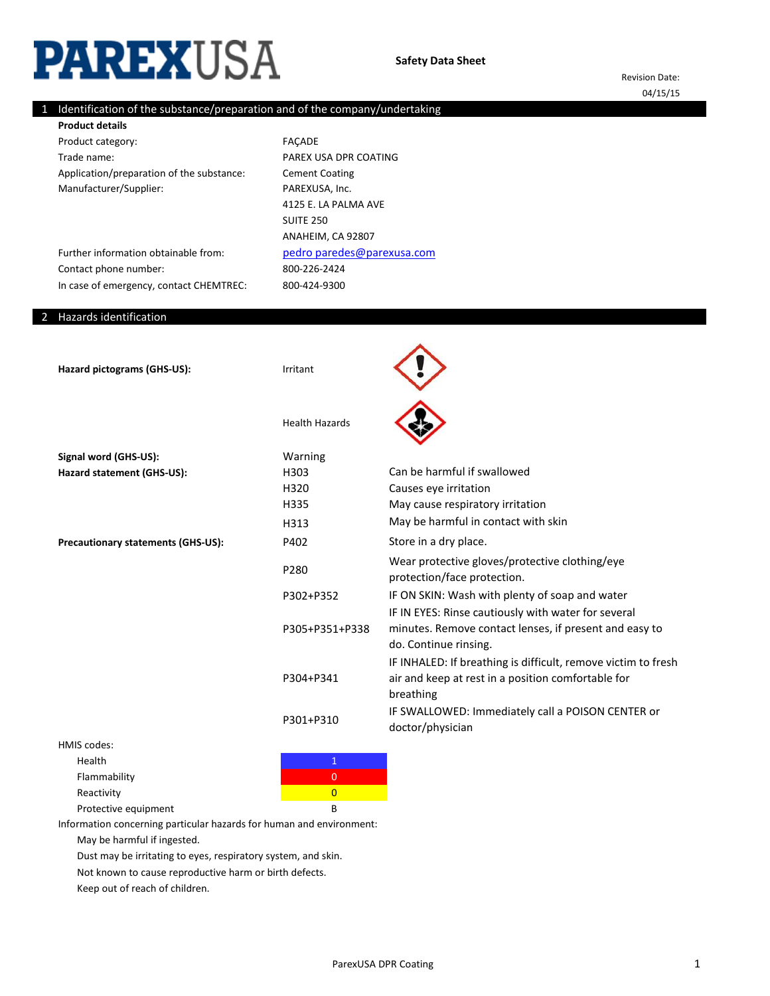# PAREXUSA

Revision Date: 04/15/15

# 1 Identification of the substance/preparation and of the company/undertaking

Product category: Trade name: Application/preparation of the substance: Manufacturer/Supplier: **Product details**

800-226-2424 800-424-9300 FAÇADE PAREX USA DPR COATING Cement Coating PAREXUSA, Inc. [pedro paredes@pare](mailto:carlos.nones@parexusa.com)xusa.com 4125 E. LA PALMA AVE SUITE 250 ANAHEIM, CA 92807

Further information obtainable from: Contact phone number: In case of emergency, contact CHEMTREC:

### 2 Hazards identification

Hazard pictograms (GHS-US): Irritant Health Hazards Signal word (GHS-US): Warning Hazard statement (GHS-US): H303 H320 H335 H313 **Precautionary statements (GHS-US):** P402 P280 P302+P352 P305+P351+P338 P304+P341 P301+P310 Can be harmful if swallowed Causes eye irritation May cause respiratory irritation May be harmful in contact with skin Store in a dry place. Wear protective gloves/protective clothing/eye protection/face protection. IF ON SKIN: Wash with plenty of soap and water IF IN EYES: Rinse cautiously with water for several minutes. Remove contact lenses, if present and easy to do. Continue rinsing. IF INHALED: If breathing is difficult, remove victim to fresh air and keep at rest in a position comfortable for breathing IF SWALLOWED: Immediately call a POISON CENTER or doctor/physician

HMIS codes:

Health **1** and 1 and 1 and 1 and 1 and 1 and 1 and 1 and 1 and 1 and 1 and 1 and 1 and 1 and 1 and 1

Flammability **Department of the Contract of Contract O** 

Reactivity **Contraction Contractivity** and the contraction of the contraction of the contraction of the contraction of the contraction of the contraction of the contraction of the contraction of the contraction of the cont

Protective equipment B

Information concerning particular hazards for human and environment:

May be harmful if ingested.

Dust may be irritating to eyes, respiratory system, and skin.

Not known to cause reproductive harm or birth defects.

Keep out of reach of children.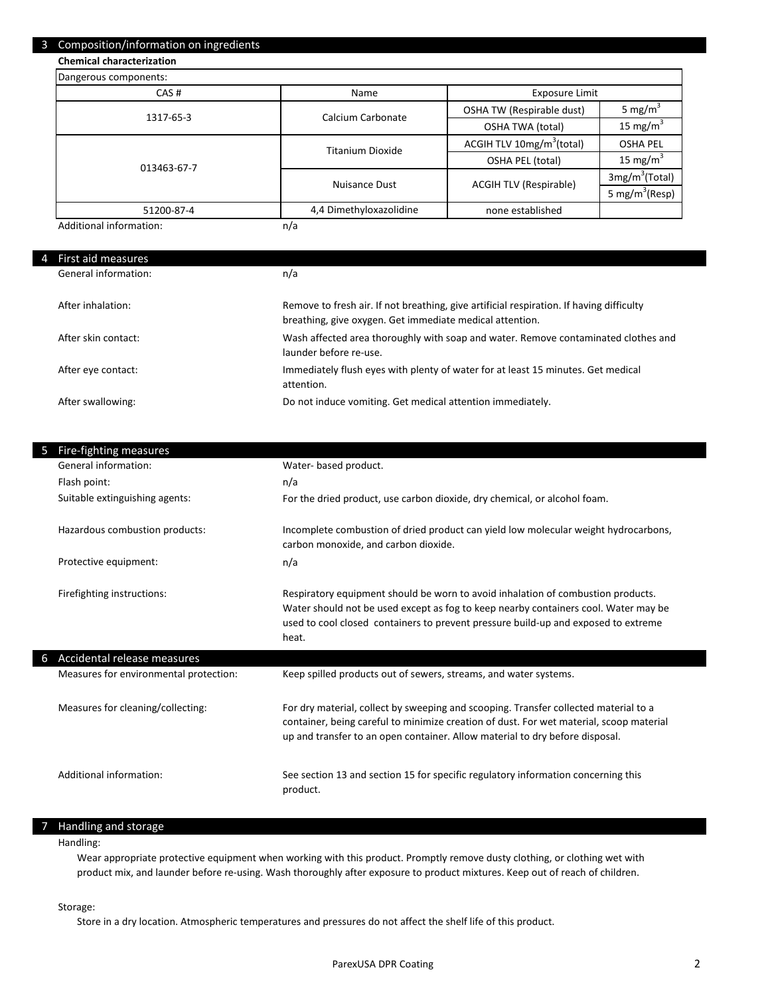#### 3 Composition/information on ingredients

# **Chemical characterization**

| Dangerous components: |                         |                                       |                            |
|-----------------------|-------------------------|---------------------------------------|----------------------------|
| CAS#                  | Name                    | <b>Exposure Limit</b>                 |                            |
| 1317-65-3             | Calcium Carbonate       | OSHA TW (Respirable dust)             | 5 mg/m <sup>3</sup>        |
|                       |                         | <b>OSHA TWA (total)</b>               | 15 mg/m $3$                |
|                       | <b>Titanium Dioxide</b> | ACGIH TLV 10mg/m <sup>3</sup> (total) | <b>OSHA PEL</b>            |
| 013463-67-7           |                         | OSHA PEL (total)                      | 15 mg/m <sup>3</sup>       |
|                       | Nuisance Dust           | <b>ACGIH TLV (Respirable)</b>         | 3mg/m <sup>3</sup> (Total) |
|                       |                         |                                       | 5 mg/m <sup>3</sup> (Resp) |
| 51200-87-4            | 4,4 Dimethyloxazolidine | none established                      |                            |

Additional information:

| 4 First aid measures |                                                                                                                                                      |
|----------------------|------------------------------------------------------------------------------------------------------------------------------------------------------|
| General information: | n/a                                                                                                                                                  |
| After inhalation:    | Remove to fresh air. If not breathing, give artificial respiration. If having difficulty<br>breathing, give oxygen. Get immediate medical attention. |
| After skin contact:  | Wash affected area thoroughly with soap and water. Remove contaminated clothes and<br>launder before re-use.                                         |
| After eye contact:   | Immediately flush eyes with plenty of water for at least 15 minutes. Get medical<br>attention.                                                       |
| After swallowing:    | Do not induce vomiting. Get medical attention immediately.                                                                                           |

| Fire-fighting measures                 |                                                                                                                                                                                                                                                                        |
|----------------------------------------|------------------------------------------------------------------------------------------------------------------------------------------------------------------------------------------------------------------------------------------------------------------------|
| General information:                   | Water- based product.                                                                                                                                                                                                                                                  |
| Flash point:                           | n/a                                                                                                                                                                                                                                                                    |
| Suitable extinguishing agents:         | For the dried product, use carbon dioxide, dry chemical, or alcohol foam.                                                                                                                                                                                              |
| Hazardous combustion products:         | Incomplete combustion of dried product can yield low molecular weight hydrocarbons,<br>carbon monoxide, and carbon dioxide.                                                                                                                                            |
| Protective equipment:                  | n/a                                                                                                                                                                                                                                                                    |
| Firefighting instructions:             | Respiratory equipment should be worn to avoid inhalation of combustion products.<br>Water should not be used except as fog to keep nearby containers cool. Water may be<br>used to cool closed containers to prevent pressure build-up and exposed to extreme<br>heat. |
| Accidental release measures            |                                                                                                                                                                                                                                                                        |
| Measures for environmental protection: | Keep spilled products out of sewers, streams, and water systems.                                                                                                                                                                                                       |
| Measures for cleaning/collecting:      | For dry material, collect by sweeping and scooping. Transfer collected material to a<br>container, being careful to minimize creation of dust. For wet material, scoop material<br>up and transfer to an open container. Allow material to dry before disposal.        |
| Additional information:                | See section 13 and section 15 for specific regulatory information concerning this<br>product.                                                                                                                                                                          |

## 7 Handling and storage

Handling:

Wear appropriate protective equipment when working with this product. Promptly remove dusty clothing, or clothing wet with product mix, and launder before re-using. Wash thoroughly after exposure to product mixtures. Keep out of reach of children.

Storage:

Store in a dry location. Atmospheric temperatures and pressures do not affect the shelf life of this product.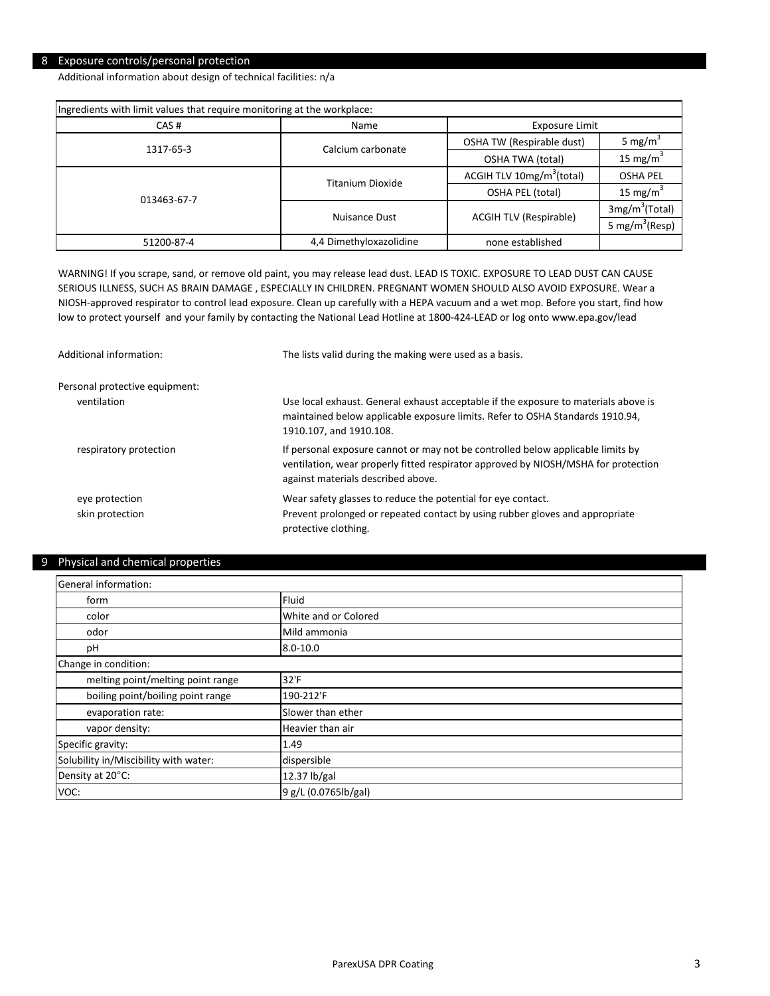## 8 Exposure controls/personal protection

Additional information about design of technical facilities: n/a

| Ingredients with limit values that require monitoring at the workplace: |                         |                                                             |                            |  |
|-------------------------------------------------------------------------|-------------------------|-------------------------------------------------------------|----------------------------|--|
| CAS#                                                                    | Name                    |                                                             | Exposure Limit             |  |
| 1317-65-3                                                               | Calcium carbonate       | OSHA TW (Respirable dust)                                   | 5 mg/m <sup>3</sup>        |  |
|                                                                         | <b>OSHA TWA (total)</b> |                                                             | 15 mg/m <sup>3</sup>       |  |
|                                                                         | Titanium Dioxide        | ACGIH TLV $10mg/m^3$ (total)                                | <b>OSHA PEL</b>            |  |
| 013463-67-7                                                             |                         | OSHA PEL (total)                                            | 15 mg/m <sup>3</sup>       |  |
|                                                                         | Nuisance Dust           | 3mg/m <sup>3</sup> (Total)<br><b>ACGIH TLV (Respirable)</b> |                            |  |
|                                                                         |                         |                                                             | 5 mg/m <sup>3</sup> (Resp) |  |
| 51200-87-4                                                              | 4,4 Dimethyloxazolidine | none established                                            |                            |  |

WARNING! If you scrape, sand, or remove old paint, you may release lead dust. LEAD IS TOXIC. EXPOSURE TO LEAD DUST CAN CAUSE SERIOUS ILLNESS, SUCH AS BRAIN DAMAGE , ESPECIALLY IN CHILDREN. PREGNANT WOMEN SHOULD ALSO AVOID EXPOSURE. Wear a NIOSH-approved respirator to control lead exposure. Clean up carefully with a HEPA vacuum and a wet mop. Before you start, find how low to protect yourself and your family by contacting the National Lead Hotline at 1800-424-LEAD or log onto www.epa.gov/lead

| Additional information:           | The lists valid during the making were used as a basis.                                                                                                                                                     |
|-----------------------------------|-------------------------------------------------------------------------------------------------------------------------------------------------------------------------------------------------------------|
| Personal protective equipment:    |                                                                                                                                                                                                             |
| ventilation                       | Use local exhaust. General exhaust acceptable if the exposure to materials above is<br>maintained below applicable exposure limits. Refer to OSHA Standards 1910.94,<br>1910.107, and 1910.108.             |
| respiratory protection            | If personal exposure cannot or may not be controlled below applicable limits by<br>ventilation, wear properly fitted respirator approved by NIOSH/MSHA for protection<br>against materials described above. |
| eye protection<br>skin protection | Wear safety glasses to reduce the potential for eye contact.<br>Prevent prolonged or repeated contact by using rubber gloves and appropriate<br>protective clothing.                                        |

## 9 Physical and chemical properties

| General information:                  |                      |
|---------------------------------------|----------------------|
| form                                  | Fluid                |
| color                                 | White and or Colored |
| odor                                  | Mild ammonia         |
| pH                                    | $8.0 - 10.0$         |
| Change in condition:                  |                      |
| melting point/melting point range     | 32'F                 |
| boiling point/boiling point range     | 190-212'F            |
| evaporation rate:                     | Slower than ether    |
| vapor density:                        | Heavier than air     |
| Specific gravity:                     | 1.49                 |
| Solubility in/Miscibility with water: | dispersible          |
| Density at 20°C:                      | 12.37 lb/gal         |
| VOC:                                  | 9 g/L (0.0765lb/gal) |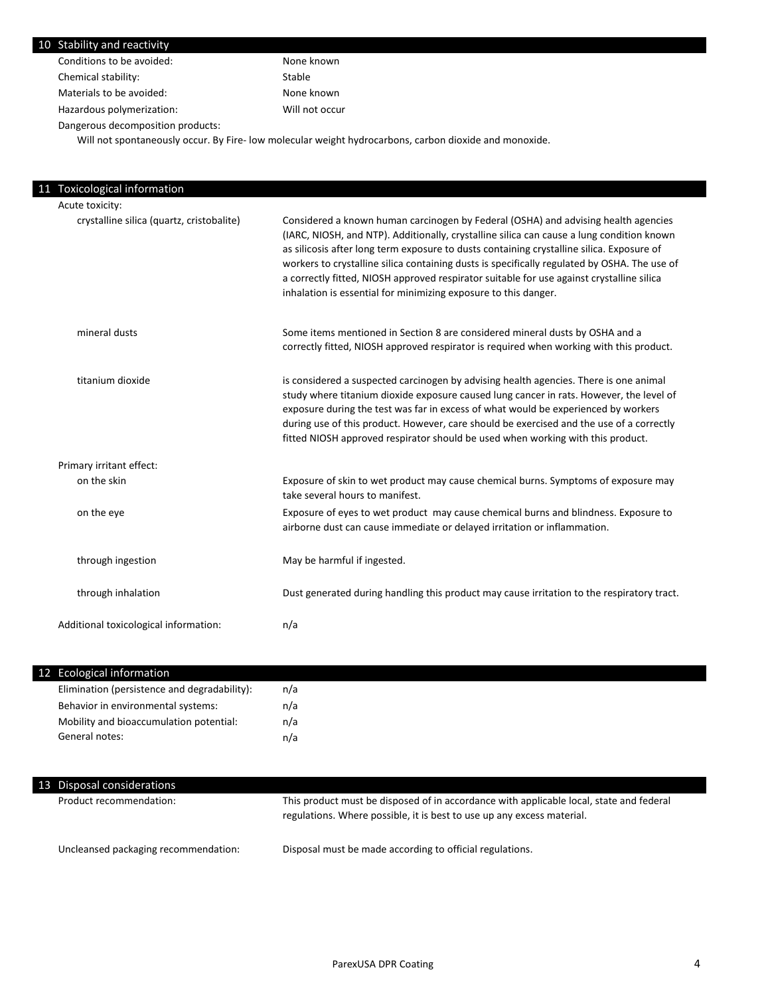| 10 Stability and reactivity       |                |
|-----------------------------------|----------------|
| Conditions to be avoided:         | None known     |
| Chemical stability:               | Stable         |
| Materials to be avoided:          | None known     |
| Hazardous polymerization:         | Will not occur |
| Dangerous decomposition products: |                |

Will not spontaneously occur. By Fire- low molecular weight hydrocarbons, carbon dioxide and monoxide.

| 11 Toxicological information              |                                                                                                                                                                                                                                                                                                                                                                                                                                                                                                                                              |
|-------------------------------------------|----------------------------------------------------------------------------------------------------------------------------------------------------------------------------------------------------------------------------------------------------------------------------------------------------------------------------------------------------------------------------------------------------------------------------------------------------------------------------------------------------------------------------------------------|
| Acute toxicity:                           |                                                                                                                                                                                                                                                                                                                                                                                                                                                                                                                                              |
| crystalline silica (quartz, cristobalite) | Considered a known human carcinogen by Federal (OSHA) and advising health agencies<br>(IARC, NIOSH, and NTP). Additionally, crystalline silica can cause a lung condition known<br>as silicosis after long term exposure to dusts containing crystalline silica. Exposure of<br>workers to crystalline silica containing dusts is specifically regulated by OSHA. The use of<br>a correctly fitted, NIOSH approved respirator suitable for use against crystalline silica<br>inhalation is essential for minimizing exposure to this danger. |
| mineral dusts                             | Some items mentioned in Section 8 are considered mineral dusts by OSHA and a<br>correctly fitted, NIOSH approved respirator is required when working with this product.                                                                                                                                                                                                                                                                                                                                                                      |
| titanium dioxide                          | is considered a suspected carcinogen by advising health agencies. There is one animal<br>study where titanium dioxide exposure caused lung cancer in rats. However, the level of<br>exposure during the test was far in excess of what would be experienced by workers<br>during use of this product. However, care should be exercised and the use of a correctly<br>fitted NIOSH approved respirator should be used when working with this product.                                                                                        |
| Primary irritant effect:                  |                                                                                                                                                                                                                                                                                                                                                                                                                                                                                                                                              |
| on the skin                               | Exposure of skin to wet product may cause chemical burns. Symptoms of exposure may<br>take several hours to manifest.                                                                                                                                                                                                                                                                                                                                                                                                                        |
| on the eye                                | Exposure of eyes to wet product may cause chemical burns and blindness. Exposure to<br>airborne dust can cause immediate or delayed irritation or inflammation.                                                                                                                                                                                                                                                                                                                                                                              |
| through ingestion                         | May be harmful if ingested.                                                                                                                                                                                                                                                                                                                                                                                                                                                                                                                  |
| through inhalation                        | Dust generated during handling this product may cause irritation to the respiratory tract.                                                                                                                                                                                                                                                                                                                                                                                                                                                   |
| Additional toxicological information:     | n/a                                                                                                                                                                                                                                                                                                                                                                                                                                                                                                                                          |

| 12 Ecological information                    |     |  |  |
|----------------------------------------------|-----|--|--|
| Elimination (persistence and degradability): | n/a |  |  |
| Behavior in environmental systems:           | n/a |  |  |
| Mobility and bioaccumulation potential:      | n/a |  |  |
| General notes:                               | n/a |  |  |
|                                              |     |  |  |

| 13 Disposal considerations           |                                                                                                                                                                   |
|--------------------------------------|-------------------------------------------------------------------------------------------------------------------------------------------------------------------|
| Product recommendation:              | This product must be disposed of in accordance with applicable local, state and federal<br>regulations. Where possible, it is best to use up any excess material. |
| Uncleansed packaging recommendation: | Disposal must be made according to official regulations.                                                                                                          |